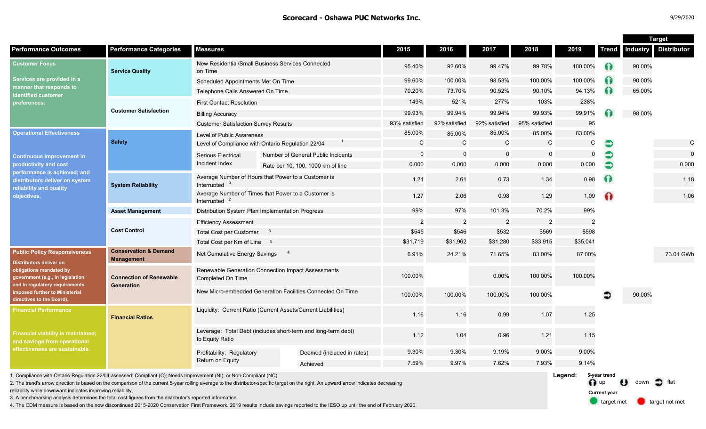target met **target not met** 

**Current year**

|                                                                                                                                                                                                                                       |                                                       |                                                                                  |                                                                                                                                                                                       |                |                |                |                |                         |              | <b>Target</b>                  |                    |
|---------------------------------------------------------------------------------------------------------------------------------------------------------------------------------------------------------------------------------------|-------------------------------------------------------|----------------------------------------------------------------------------------|---------------------------------------------------------------------------------------------------------------------------------------------------------------------------------------|----------------|----------------|----------------|----------------|-------------------------|--------------|--------------------------------|--------------------|
| <b>Performance Outcomes</b>                                                                                                                                                                                                           | <b>Performance Categories</b>                         | Measures                                                                         |                                                                                                                                                                                       | 2015           | 2016           | 2017           | 2018           | 2019                    | <b>Trend</b> | <b>Industry</b>                | <b>Distributor</b> |
| <b>Customer Focus</b><br>Services are provided in a<br>manner that responds to<br>dentified customer<br>preferences.                                                                                                                  | <b>Service Quality</b>                                | on Time                                                                          | New Residential/Small Business Services Connected                                                                                                                                     | 95.40%         | 92.60%         | 99.47%         | 99.78%         | 100.00%                 | Ω            | 90.00%                         |                    |
|                                                                                                                                                                                                                                       |                                                       | Scheduled Appointments Met On Time                                               |                                                                                                                                                                                       | 99.60%         | 100.00%        | 98.53%         | 100.00%        | 100.00%                 | ∩            | 90.00%                         |                    |
|                                                                                                                                                                                                                                       |                                                       | Telephone Calls Answered On Time                                                 |                                                                                                                                                                                       | 70.20%         | 73.70%         | 90.52%         | 90.10%         | 94.13%                  | Ω            | 65.00%                         |                    |
|                                                                                                                                                                                                                                       | <b>Customer Satisfaction</b>                          | <b>First Contact Resolution</b>                                                  |                                                                                                                                                                                       | 149%           | 521%           | 277%           | 103%           | 238%                    |              |                                |                    |
|                                                                                                                                                                                                                                       |                                                       | <b>Billing Accuracy</b>                                                          |                                                                                                                                                                                       | 99.93%         | 99.94%         | 99.94%         | 99.93%         | 99.91%                  |              | 98.00%                         |                    |
|                                                                                                                                                                                                                                       |                                                       | <b>Customer Satisfaction Survey Results</b>                                      |                                                                                                                                                                                       | 93% satisfied  | 92% satisfied  | 92% satisfied  | 95% satisfied  | 95                      |              |                                |                    |
| <b>Operational Effectiveness</b><br><b>Continuous improvement in</b><br>productivity and cost<br>performance is achieved; and<br>distributors deliver on system<br>reliability and quality<br>objectives.                             | <b>Safety</b>                                         | Level of Public Awareness                                                        |                                                                                                                                                                                       | 85.00%         | 85.00%         | 85.00%         | 85.00%         | 83.00%                  |              |                                |                    |
|                                                                                                                                                                                                                                       |                                                       | Level of Compliance with Ontario Regulation 22/04                                |                                                                                                                                                                                       | $\mathsf{C}$   | $\mathbf C$    | $\mathsf{C}$   | $\mathsf{C}$   | C                       | €            |                                | $\mathsf C$        |
|                                                                                                                                                                                                                                       |                                                       | Serious Electrical<br>Incident Index                                             | Number of General Public Incidents                                                                                                                                                    | $\Omega$       | $\mathbf 0$    | $\mathsf{O}$   |                | $\mathbf 0$             |              |                                | $\mathbf 0$        |
|                                                                                                                                                                                                                                       |                                                       |                                                                                  | Rate per 10, 100, 1000 km of line                                                                                                                                                     | 0.000          | 0.000          | 0.000          | 0.000          | 0.000                   | €            |                                | 0.000              |
|                                                                                                                                                                                                                                       | <b>System Reliability</b>                             | Interrupted $2$                                                                  | Average Number of Hours that Power to a Customer is                                                                                                                                   | 1.21           | 2.61           | 0.73           | 1.34           | 0.98                    | $\Omega$     |                                | 1.18               |
|                                                                                                                                                                                                                                       |                                                       | Interrupted                                                                      | Average Number of Times that Power to a Customer is                                                                                                                                   | 1.27           | 2.06           | 0.98           | 1.29           | 1.09                    | ⋒            |                                | 1.06               |
|                                                                                                                                                                                                                                       | <b>Asset Management</b>                               | Distribution System Plan Implementation Progress                                 |                                                                                                                                                                                       | 99%            | 97%            | 101.3%         | 70.2%          | 99%                     |              |                                |                    |
|                                                                                                                                                                                                                                       | <b>Cost Control</b>                                   | <b>Efficiency Assessment</b>                                                     |                                                                                                                                                                                       | $\overline{2}$ | $\overline{c}$ | $\overline{2}$ | $\overline{2}$ | $\overline{2}$          |              |                                |                    |
|                                                                                                                                                                                                                                       |                                                       | Total Cost per Customer 3                                                        |                                                                                                                                                                                       | \$545          | \$546          | \$532          | \$569          | \$598                   |              |                                |                    |
|                                                                                                                                                                                                                                       |                                                       | Total Cost per Km of Line 3                                                      |                                                                                                                                                                                       | \$31,719       | \$31,962       | \$31,280       | \$33,915       | \$35,041                |              |                                |                    |
| <b>Public Policy Responsiveness</b><br><b>Distributors deliver on</b><br>obligations mandated by<br>government (e.g., in legislation<br>and in regulatory requirements<br>imposed further to Ministerial<br>directives to the Board). | <b>Conservation &amp; Demand</b><br><b>Management</b> | Net Cumulative Energy Savings                                                    | $\overline{4}$                                                                                                                                                                        | 6.91%          | 24.21%         | 71.65%         | 83.00%         | 87.00%                  |              |                                | 73.01 GWh          |
|                                                                                                                                                                                                                                       | <b>Connection of Renewable</b><br><b>Generation</b>   | Renewable Generation Connection Impact Assessments<br>Completed On Time          |                                                                                                                                                                                       | 100.00%        |                | 0.00%          | 100.00%        | 100.00%                 |              |                                |                    |
|                                                                                                                                                                                                                                       |                                                       | New Micro-embedded Generation Facilities Connected On Time                       |                                                                                                                                                                                       | 100.00%        | 100.00%        | 100.00%        | 100.00%        |                         | ∍            | 90.00%                         |                    |
| <b>Financial Performance</b><br><b>Financial viability is maintained;</b><br>and savings from operational<br>effectiveness are sustainable.                                                                                           | <b>Financial Ratios</b>                               | Liquidity: Current Ratio (Current Assets/Current Liabilities)                    |                                                                                                                                                                                       | 1.16           | 1.16           | 0.99           | 1.07           | 1.25                    |              |                                |                    |
|                                                                                                                                                                                                                                       |                                                       | Leverage: Total Debt (includes short-term and long-term debt)<br>to Equity Ratio |                                                                                                                                                                                       | 1.12           | 1.04           | 0.96           | 1.21           | 1.15                    |              |                                |                    |
|                                                                                                                                                                                                                                       |                                                       | Profitability: Regulatory<br>Return on Equity                                    | Deemed (included in rates)                                                                                                                                                            | 9.30%          | 9.30%          | 9.19%          | 9.00%          | 9.00%                   |              |                                |                    |
|                                                                                                                                                                                                                                       |                                                       |                                                                                  | Achieved                                                                                                                                                                              | 7.59%          | 9.97%          | 7.62%          | 7.93%          | 9.14%                   |              |                                |                    |
| 1. Compliance with Ontario Regulation 22/04 assessed: Compliant (C); Needs Improvement (NI); or Non-Compliant (NC).                                                                                                                   |                                                       |                                                                                  | 2. The trend's arrow direction is based on the comparison of the current 5-year rolling average to the distributor-specific target on the right. An upward arrow indicates decreasing |                |                |                |                | Legend:<br>$\bigcap$ up | 5-year trend | $\bigcup$ down $\bigcirc$ flat |                    |

2. The trend's arrow direction is based on the comparison of the current 5-year rolling average to the distributor-specific target on the right. An upward arrow indicates decreasing

reliability while downward indicates improving reliability.

3. A benchmarking analysis determines the total cost figures from the distributor's reported information.

4. The CDM measure is based on the now discontinued 2015-2020 Conservation First Framework. 2019 results include savings reported to the IESO up until the end of February 2020.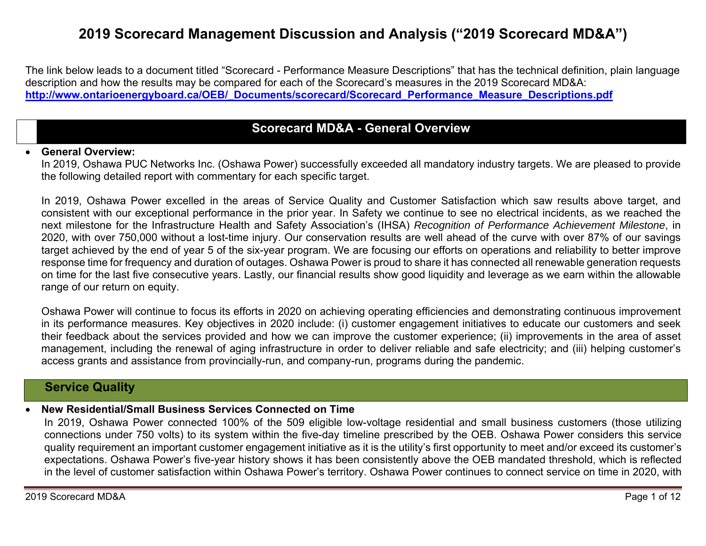# **2019 Scorecard Management Discussion and Analysis ("2019 Scorecard MD&A")**

The link below leads to a document titled "Scorecard - Performance Measure Descriptions" that has the technical definition, plain language description and how the results may be compared for each of the Scorecard's measures in the 2019 Scorecard MD&A: **http://www.ontarioenergyboard.ca/OEB/\_Documents/scorecard/Scorecard\_Performance\_Measure\_Descriptions.pdf** 

### **Scorecard MD&A - General Overview**

#### 0 **General Overview:**

In 2019, Oshawa PUC Networks Inc. (Oshawa Power) successfully exceeded all mandatory industry targets. We are pleased to provide the following detailed report with commentary for each specific target.

In 2019, Oshawa Power excelled in the areas of Service Quality and Customer Satisfaction which saw results above target, and consistent with our exceptional performance in the prior year. In Safety we continue to see no electrical incidents, as we reached the next milestone for the Infrastructure Health and Safety Association's (IHSA) *Recognition of Performance Achievement Milestone*, in 2020, with over 750,000 without a lost-time injury. Our conservation results are well ahead of the curve with over 87% of our savings target achieved by the end of year 5 of the six-year program. We are focusing our efforts on operations and reliability to better improve response time for frequency and duration of outages. Oshawa Power is proud to share it has connected all renewable generation requests on time for the last five consecutive years. Lastly, our financial results show good liquidity and leverage as we earn within the allowable range of our return on equity.

Oshawa Power will continue to focus its efforts in 2020 on achieving operating efficiencies and demonstrating continuous improvement in its performance measures. Key objectives in 2020 include: (i) customer engagement initiatives to educate our customers and seek their feedback about the services provided and how we can improve the customer experience; (ii) improvements in the area of asset management, including the renewal of aging infrastructure in order to deliver reliable and safe electricity; and (iii) helping customer's access grants and assistance from provincially-run, and company-run, programs during the pandemic.

### **Service Quality**

#### 0 **New Residential/Small Business Services Connected on Time**

In 2019, Oshawa Power connected 100% of the 509 eligible low-voltage residential and small business customers (those utilizing connections under 750 volts) to its system within the five-day timeline prescribed by the OEB. Oshawa Power considers this service quality requirement an important customer engagement initiative as it is the utility's first opportunity to meet and/or exceed its customer's expectations. Oshawa Power's five-year history shows it has been consistently above the OEB mandated threshold, which is reflected in the level of customer satisfaction within Oshawa Power's territory. Oshawa Power continues to connect service on time in 2020, with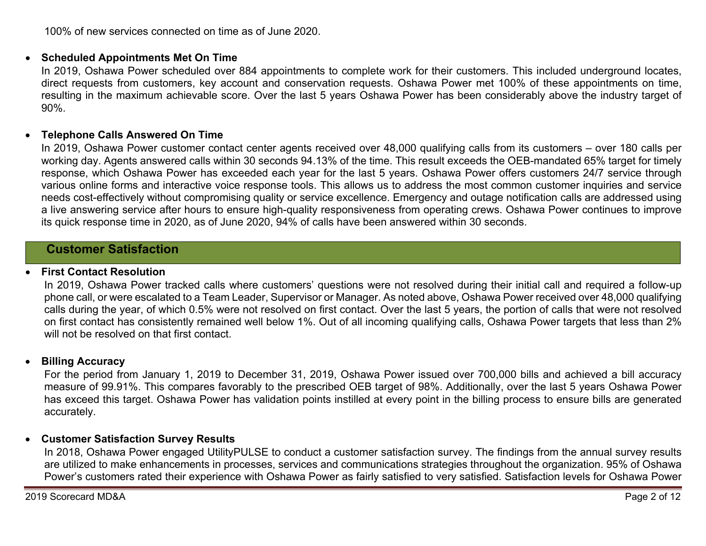100% of new services connected on time as of June 2020.

### **Scheduled Appointments Met On Time**

In 2019, Oshawa Power scheduled over 884 appointments to complete work for their customers. This included underground locates, direct requests from customers, key account and conservation requests. Oshawa Power met 100% of these appointments on time, resulting in the maximum achievable score. Over the last 5 years Oshawa Power has been considerably above the industry target of 90%.

#### $\bullet$ **Telephone Calls Answered On Time**

In 2019, Oshawa Power customer contact center agents received over 48,000 qualifying calls from its customers – over 180 calls per working day. Agents answered calls within 30 seconds 94.13% of the time. This result exceeds the OEB-mandated 65% target for timely response, which Oshawa Power has exceeded each year for the last 5 years. Oshawa Power offers customers 24/7 service through various online forms and interactive voice response tools. This allows us to address the most common customer inquiries and service needs cost-effectively without compromising quality or service excellence. Emergency and outage notification calls are addressed using a live answering service after hours to ensure high-quality responsiveness from operating crews. Oshawa Power continues to improve its quick response time in 2020, as of June 2020, 94% of calls have been answered within 30 seconds.

### **Customer Satisfaction**

#### 0 **First Contact Resolution**

In 2019, Oshawa Power tracked calls where customers' questions were not resolved during their initial call and required a follow-up phone call, or were escalated to a Team Leader, Supervisor or Manager. As noted above, Oshawa Power received over 48,000 qualifying calls during the year, of which 0.5% were not resolved on first contact. Over the last 5 years, the portion of calls that were not resolved on first contact has consistently remained well below 1%. Out of all incoming qualifying calls, Oshawa Power targets that less than 2% will not be resolved on that first contact.

#### $\bullet$ **Billing Accuracy**

For the period from January 1, 2019 to December 31, 2019, Oshawa Power issued over 700,000 bills and achieved a bill accuracy measure of 99.91%. This compares favorably to the prescribed OEB target of 98%. Additionally, over the last 5 years Oshawa Power has exceed this target. Oshawa Power has validation points instilled at every point in the billing process to ensure bills are generated accurately.

### **Customer Satisfaction Survey Results**

In 2018, Oshawa Power engaged UtilityPULSE to conduct a customer satisfaction survey. The findings from the annual survey results are utilized to make enhancements in processes, services and communications strategies throughout the organization. 95% of Oshawa Power's customers rated their experience with Oshawa Power as fairly satisfied to very satisfied. Satisfaction levels for Oshawa Power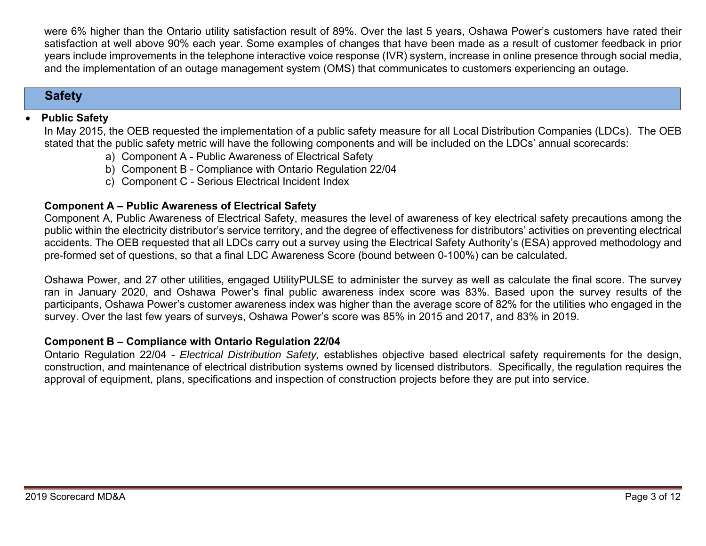were 6% higher than the Ontario utility satisfaction result of 89%. Over the last 5 years, Oshawa Power's customers have rated their satisfaction at well above 90% each year. Some examples of changes that have been made as a result of customer feedback in prior years include improvements in the telephone interactive voice response (IVR) system, increase in online presence through social media, and the implementation of an outage management system (OMS) that communicates to customers experiencing an outage.

# **Safety**

#### 0 **Public Safety**

In May 2015, the OEB requested the implementation of a public safety measure for all Local Distribution Companies (LDCs). The OEB stated that the public safety metric will have the following components and will be included on the LDCs' annual scorecards:

- a) Component A Public Awareness of Electrical Safety
- b) Component B Compliance with Ontario Regulation 22/04
- c) Component C Serious Electrical Incident Index

### **Component A – Public Awareness of Electrical Safety**

Component A, Public Awareness of Electrical Safety, measures the level of awareness of key electrical safety precautions among the public within the electricity distributor's service territory, and the degree of effectiveness for distributors' activities on preventing electrical accidents. The OEB requested that all LDCs carry out a survey using the Electrical Safety Authority's (ESA) approved methodology and pre-formed set of questions, so that a final LDC Awareness Score (bound between 0-100%) can be calculated.

Oshawa Power, and 27 other utilities, engaged UtilityPULSE to administer the survey as well as calculate the final score. The survey ran in January 2020, and Oshawa Power's final public awareness index score was 83%. Based upon the survey results of the participants, Oshawa Power's customer awareness index was higher than the average score of 82% for the utilities who engaged in the survey. Over the last few years of surveys, Oshawa Power's score was 85% in 2015 and 2017, and 83% in 2019.

### **Component B – Compliance with Ontario Regulation 22/04**

Ontario Regulation 22/04 - *Electrical Distribution Safety,* establishes objective based electrical safety requirements for the design, construction, and maintenance of electrical distribution systems owned by licensed distributors. Specifically, the regulation requires the approval of equipment, plans, specifications and inspection of construction projects before they are put into service.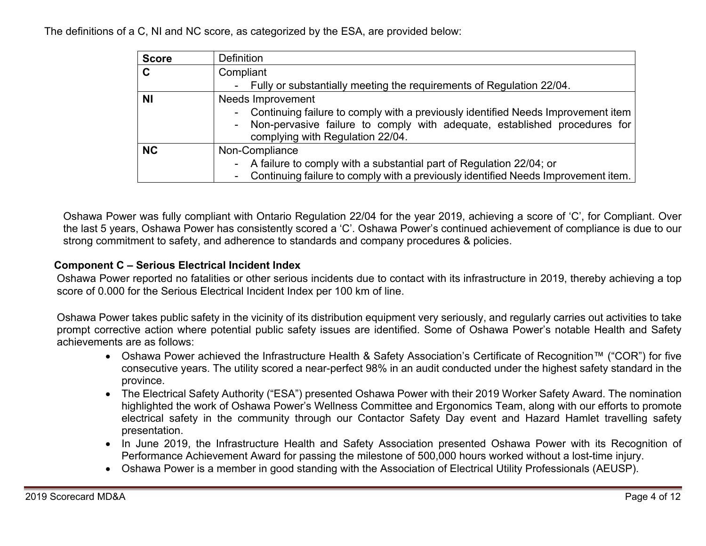The definitions of a C, NI and NC score, as categorized by the ESA, are provided below:

| <b>Score</b> | <b>Definition</b>                                                                                                                                                                                     |  |  |  |  |  |
|--------------|-------------------------------------------------------------------------------------------------------------------------------------------------------------------------------------------------------|--|--|--|--|--|
| C            | Compliant                                                                                                                                                                                             |  |  |  |  |  |
|              | - Fully or substantially meeting the requirements of Regulation 22/04.                                                                                                                                |  |  |  |  |  |
| <b>NI</b>    | Needs Improvement                                                                                                                                                                                     |  |  |  |  |  |
|              | - Continuing failure to comply with a previously identified Needs Improvement item<br>- Non-pervasive failure to comply with adequate, established procedures for<br>complying with Regulation 22/04. |  |  |  |  |  |
| <b>NC</b>    | Non-Compliance                                                                                                                                                                                        |  |  |  |  |  |
|              | - A failure to comply with a substantial part of Regulation 22/04; or<br>- Continuing failure to comply with a previously identified Needs Improvement item.                                          |  |  |  |  |  |

Oshawa Power was fully compliant with Ontario Regulation 22/04 for the year 2019, achieving a score of 'C', for Compliant. Over the last 5 years, Oshawa Power has consistently scored a 'C'. Oshawa Power's continued achievement of compliance is due to our strong commitment to safety, and adherence to standards and company procedures & policies.

### **Component C – Serious Electrical Incident Index**

Oshawa Power reported no fatalities or other serious incidents due to contact with its infrastructure in 2019, thereby achieving a top score of 0.000 for the Serious Electrical Incident Index per 100 km of line.

Oshawa Power takes public safety in the vicinity of its distribution equipment very seriously, and regularly carries out activities to take prompt corrective action where potential public safety issues are identified. Some of Oshawa Power's notable Health and Safety achievements are as follows:

- Oshawa Power achieved the Infrastructure Health & Safety Association's Certificate of Recognition™ ("COR") for five consecutive years. The utility scored a near-perfect 98% in an audit conducted under the highest safety standard in the province.
- The Electrical Safety Authority ("ESA") presented Oshawa Power with their 2019 Worker Safety Award. The nomination highlighted the work of Oshawa Power's Wellness Committee and Ergonomics Team, along with our efforts to promote electrical safety in the community through our Contactor Safety Day event and Hazard Hamlet travelling safety presentation.
- In June 2019, the Infrastructure Health and Safety Association presented Oshawa Power with its Recognition of Performance Achievement Award for passing the milestone of 500,000 hours worked without a lost-time injury.
- Oshawa Power is a member in good standing with the Association of Electrical Utility Professionals (AEUSP).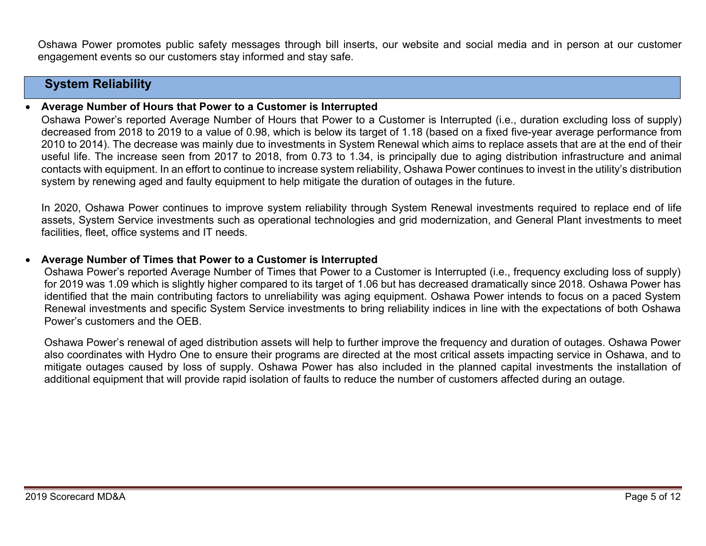Oshawa Power promotes public safety messages through bill inserts, our website and social media and in person at our customer engagement events so our customers stay informed and stay safe.

# **System Reliability**

#### 0 **Average Number of Hours that Power to a Customer is Interrupted**

Oshawa Power's reported Average Number of Hours that Power to a Customer is Interrupted (i.e., duration excluding loss of supply) decreased from 2018 to 2019 to a value of 0.98, which is below its target of 1.18 (based on a fixed five-year average performance from 2010 to 2014). The decrease was mainly due to investments in System Renewal which aims to replace assets that are at the end of their useful life. The increase seen from 2017 to 2018, from 0.73 to 1.34, is principally due to aging distribution infrastructure and animal contacts with equipment. In an effort to continue to increase system reliability, Oshawa Power continues to invest in the utility's distribution system by renewing aged and faulty equipment to help mitigate the duration of outages in the future.

In 2020, Oshawa Power continues to improve system reliability through System Renewal investments required to replace end of life assets, System Service investments such as operational technologies and grid modernization, and General Plant investments to meet facilities, fleet, office systems and IT needs.

#### 0 **Average Number of Times that Power to a Customer is Interrupted**

Oshawa Power's reported Average Number of Times that Power to a Customer is Interrupted (i.e., frequency excluding loss of supply) for 2019 was 1.09 which is slightly higher compared to its target of 1.06 but has decreased dramatically since 2018. Oshawa Power has identified that the main contributing factors to unreliability was aging equipment. Oshawa Power intends to focus on a paced System Renewal investments and specific System Service investments to bring reliability indices in line with the expectations of both Oshawa Power's customers and the OEB.

Oshawa Power's renewal of aged distribution assets will help to further improve the frequency and duration of outages. Oshawa Power also coordinates with Hydro One to ensure their programs are directed at the most critical assets impacting service in Oshawa, and to mitigate outages caused by loss of supply. Oshawa Power has also included in the planned capital investments the installation of additional equipment that will provide rapid isolation of faults to reduce the number of customers affected during an outage.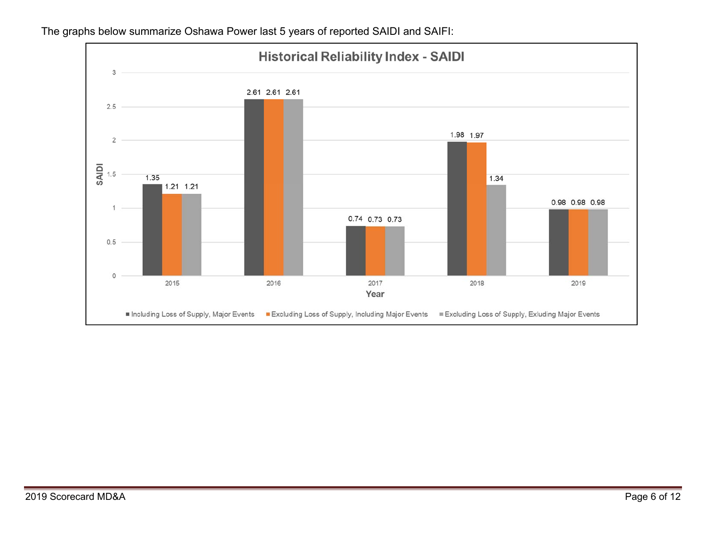

The graphs below summarize Oshawa Power last 5 years of reported SAIDI and SAIFI: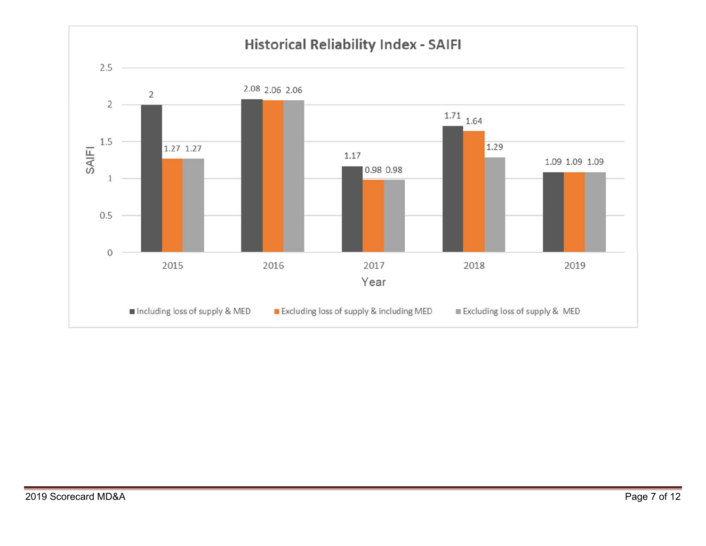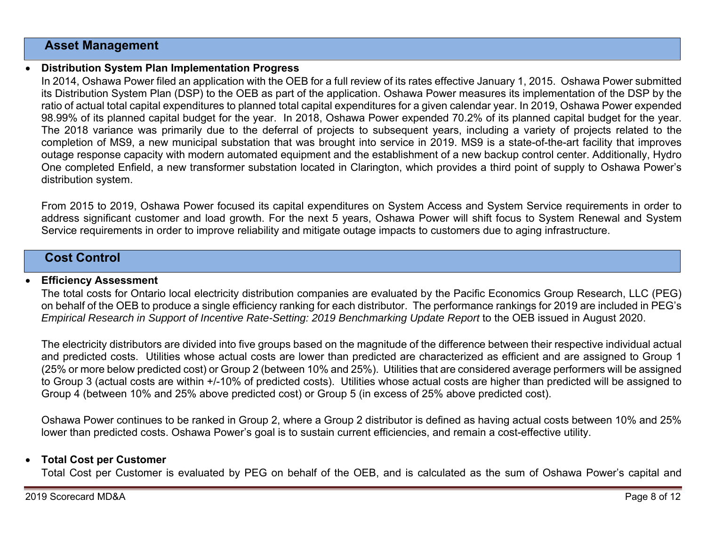### **Asset Management**

0

### **Distribution System Plan Implementation Progress**

In 2014, Oshawa Power filed an application with the OEB for a full review of its rates effective January 1, 2015. Oshawa Power submitted its Distribution System Plan (DSP) to the OEB as part of the application. Oshawa Power measures its implementation of the DSP by the ratio of actual total capital expenditures to planned total capital expenditures for a given calendar year. In 2019, Oshawa Power expended 98.99% of its planned capital budget for the year. In 2018, Oshawa Power expended 70.2% of its planned capital budget for the year. The 2018 variance was primarily due to the deferral of projects to subsequent years, including a variety of projects related to the completion of MS9, a new municipal substation that was brought into service in 2019. MS9 is a state-of-the-art facility that improves outage response capacity with modern automated equipment and the establishment of a new backup control center. Additionally, Hydro One completed Enfield, a new transformer substation located in Clarington, which provides a third point of supply to Oshawa Power's distribution system.

From 2015 to 2019, Oshawa Power focused its capital expenditures on System Access and System Service requirements in order to address significant customer and load growth. For the next 5 years, Oshawa Power will shift focus to System Renewal and System Service requirements in order to improve reliability and mitigate outage impacts to customers due to aging infrastructure.

### **Cost Control**

### 0 **Efficiency Assessment**

The total costs for Ontario local electricity distribution companies are evaluated by the Pacific Economics Group Research, LLC (PEG) on behalf of the OEB to produce a single efficiency ranking for each distributor. The performance rankings for 2019 are included in PEG's *Empirical Research in Support of Incentive Rate-Setting: 2019 Benchmarking Update Report* to the OEB issued in August 2020.

The electricity distributors are divided into five groups based on the magnitude of the difference between their respective individual actual and predicted costs. Utilities whose actual costs are lower than predicted are characterized as efficient and are assigned to Group 1 (25% or more below predicted cost) or Group 2 (between 10% and 25%). Utilities that are considered average performers will be assigned to Group 3 (actual costs are within +/-10% of predicted costs). Utilities whose actual costs are higher than predicted will be assigned to Group 4 (between 10% and 25% above predicted cost) or Group 5 (in excess of 25% above predicted cost).

Oshawa Power continues to be ranked in Group 2, where a Group 2 distributor is defined as having actual costs between 10% and 25% lower than predicted costs. Oshawa Power's goal is to sustain current efficiencies, and remain a cost-effective utility.

### 0 **Total Cost per Customer**

Total Cost per Customer is evaluated by PEG on behalf of the OEB, and is calculated as the sum of Oshawa Power's capital and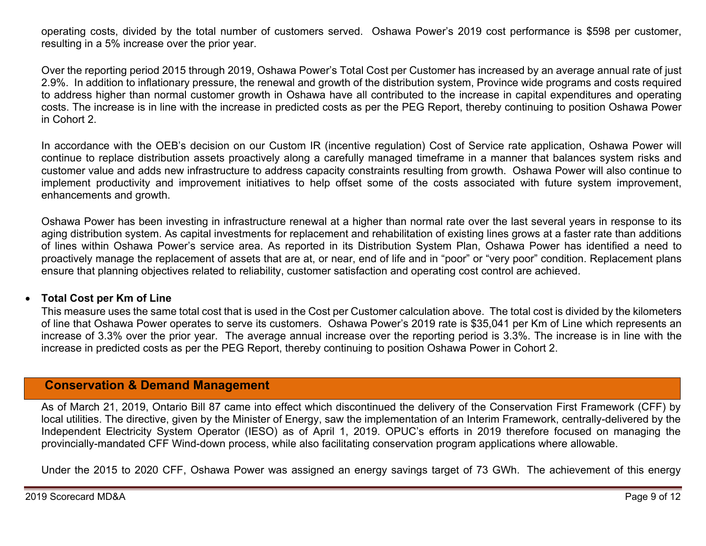operating costs, divided by the total number of customers served. Oshawa Power's 2019 cost performance is \$598 per customer, resulting in a 5% increase over the prior year.

Over the reporting period 2015 through 2019, Oshawa Power's Total Cost per Customer has increased by an average annual rate of just 2.9%. In addition to inflationary pressure, the renewal and growth of the distribution system, Province wide programs and costs required to address higher than normal customer growth in Oshawa have all contributed to the increase in capital expenditures and operating costs. The increase is in line with the increase in predicted costs as per the PEG Report, thereby continuing to position Oshawa Power in Cohort 2.

In accordance with the OEB's decision on our Custom IR (incentive regulation) Cost of Service rate application, Oshawa Power will continue to replace distribution assets proactively along a carefully managed timeframe in a manner that balances system risks and customer value and adds new infrastructure to address capacity constraints resulting from growth. Oshawa Power will also continue to implement productivity and improvement initiatives to help offset some of the costs associated with future system improvement, enhancements and growth.

Oshawa Power has been investing in infrastructure renewal at a higher than normal rate over the last several years in response to its aging distribution system. As capital investments for replacement and rehabilitation of existing lines grows at a faster rate than additions of lines within Oshawa Power's service area. As reported in its Distribution System Plan, Oshawa Power has identified a need to proactively manage the replacement of assets that are at, or near, end of life and in "poor" or "very poor" condition. Replacement plans ensure that planning objectives related to reliability, customer satisfaction and operating cost control are achieved.

#### $\bullet$ **Total Cost per Km of Line**

This measure uses the same total cost that is used in the Cost per Customer calculation above. The total cost is divided by the kilometers of line that Oshawa Power operates to serve its customers. Oshawa Power's 2019 rate is \$35,041 per Km of Line which represents an increase of 3.3% over the prior year. The average annual increase over the reporting period is 3.3%. The increase is in line with the increase in predicted costs as per the PEG Report, thereby continuing to position Oshawa Power in Cohort 2.

### **Conservation & Demand Management**

As of March 21, 2019, Ontario Bill 87 came into effect which discontinued the delivery of the Conservation First Framework (CFF) by local utilities. The directive, given by the Minister of Energy, saw the implementation of an Interim Framework, centrally-delivered by the Independent Electricity System Operator (IESO) as of April 1, 2019. OPUC's efforts in 2019 therefore focused on managing the provincially-mandated CFF Wind-down process, while also facilitating conservation program applications where allowable.

Under the 2015 to 2020 CFF, Oshawa Power was assigned an energy savings target of 73 GWh. The achievement of this energy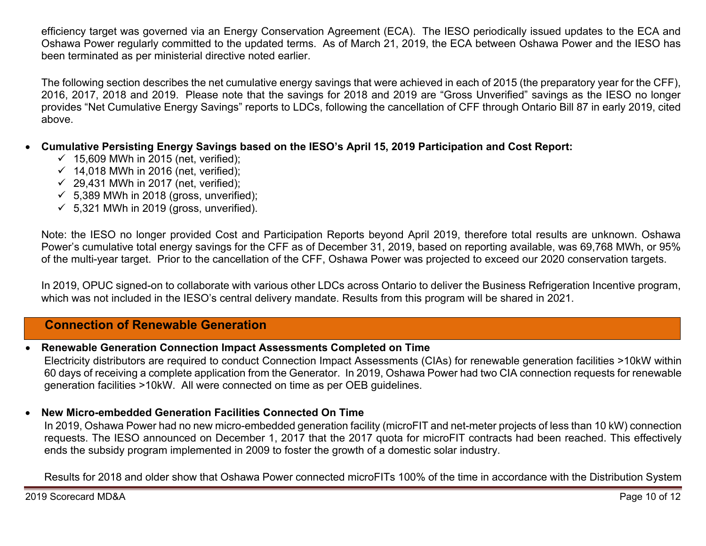efficiency target was governed via an Energy Conservation Agreement (ECA). The IESO periodically issued updates to the ECA and Oshawa Power regularly committed to the updated terms. As of March 21, 2019, the ECA between Oshawa Power and the IESO has been terminated as per ministerial directive noted earlier.

The following section describes the net cumulative energy savings that were achieved in each of 2015 (the preparatory year for the CFF), 2016, 2017, 2018 and 2019. Please note that the savings for 2018 and 2019 are "Gross Unverified" savings as the IESO no longer provides "Net Cumulative Energy Savings" reports to LDCs, following the cancellation of CFF through Ontario Bill 87 in early 2019, cited above.

- 0 **Cumulative Persisting Energy Savings based on the IESO's April 15, 2019 Participation and Cost Report:** 
	- $\checkmark$  15,609 MWh in 2015 (net, verified);
	- $\checkmark$  14,018 MWh in 2016 (net, verified);
	- $\checkmark$  29,431 MWh in 2017 (net, verified);
	- $\checkmark$  5,389 MWh in 2018 (gross, unverified);
	- $\checkmark$  5,321 MWh in 2019 (gross, unverified).

Note: the IESO no longer provided Cost and Participation Reports beyond April 2019, therefore total results are unknown. Oshawa Power's cumulative total energy savings for the CFF as of December 31, 2019, based on reporting available, was 69,768 MWh, or 95% of the multi-year target. Prior to the cancellation of the CFF, Oshawa Power was projected to exceed our 2020 conservation targets.

In 2019, OPUC signed-on to collaborate with various other LDCs across Ontario to deliver the Business Refrigeration Incentive program, which was not included in the IESO's central delivery mandate. Results from this program will be shared in 2021.

### **Connection of Renewable Generation**

#### 0 **Renewable Generation Connection Impact Assessments Completed on Time**

Electricity distributors are required to conduct Connection Impact Assessments (CIAs) for renewable generation facilities >10kW within 60 days of receiving a complete application from the Generator. In 2019, Oshawa Power had two CIA connection requests for renewable generation facilities >10kW. All were connected on time as per OEB guidelines.

### $\bullet$ **New Micro-embedded Generation Facilities Connected On Time**

In 2019, Oshawa Power had no new micro-embedded generation facility (microFIT and net-meter projects of less than 10 kW) connection requests. The IESO announced on December 1, 2017 that the 2017 quota for microFIT contracts had been reached. This effectively ends the subsidy program implemented in 2009 to foster the growth of a domestic solar industry.

Results for 2018 and older show that Oshawa Power connected microFITs 100% of the time in accordance with the Distribution System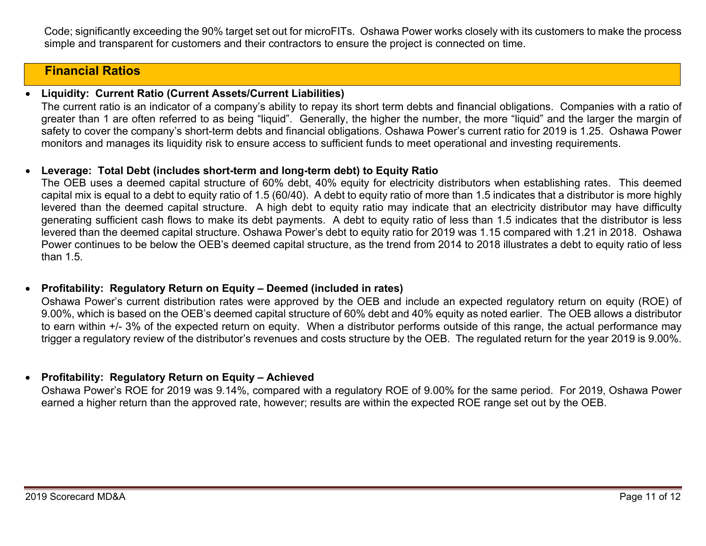Code; significantly exceeding the 90% target set out for microFITs. Oshawa Power works closely with its customers to make the process simple and transparent for customers and their contractors to ensure the project is connected on time.

## **Financial Ratios**

#### 0 **Liquidity: Current Ratio (Current Assets/Current Liabilities)**

The current ratio is an indicator of a company's ability to repay its short term debts and financial obligations. Companies with a ratio of greater than 1 are often referred to as being "liquid". Generally, the higher the number, the more "liquid" and the larger the margin of safety to cover the company's short-term debts and financial obligations. Oshawa Power's current ratio for 2019 is 1.25. Oshawa Power monitors and manages its liquidity risk to ensure access to sufficient funds to meet operational and investing requirements.

#### 0 **Leverage: Total Debt (includes short-term and long-term debt) to Equity Ratio**

The OEB uses a deemed capital structure of 60% debt, 40% equity for electricity distributors when establishing rates. This deemed capital mix is equal to a debt to equity ratio of 1.5 (60/40). A debt to equity ratio of more than 1.5 indicates that a distributor is more highly levered than the deemed capital structure. A high debt to equity ratio may indicate that an electricity distributor may have difficulty generating sufficient cash flows to make its debt payments. A debt to equity ratio of less than 1.5 indicates that the distributor is less levered than the deemed capital structure. Oshawa Power's debt to equity ratio for 2019 was 1.15 compared with 1.21 in 2018. Oshawa Power continues to be below the OEB's deemed capital structure, as the trend from 2014 to 2018 illustrates a debt to equity ratio of less than 1.5.

#### 0 **Profitability: Regulatory Return on Equity – Deemed (included in rates)**

Oshawa Power's current distribution rates were approved by the OEB and include an expected regulatory return on equity (ROE) of 9.00%, which is based on the OEB's deemed capital structure of 60% debt and 40% equity as noted earlier. The OEB allows a distributor to earn within +/- 3% of the expected return on equity. When a distributor performs outside of this range, the actual performance may trigger a regulatory review of the distributor's revenues and costs structure by the OEB. The regulated return for the year 2019 is 9.00%.

### **Profitability: Regulatory Return on Equity – Achieved**

Oshawa Power's ROE for 2019 was 9.14%, compared with a regulatory ROE of 9.00% for the same period. For 2019, Oshawa Power earned a higher return than the approved rate, however; results are within the expected ROE range set out by the OEB.